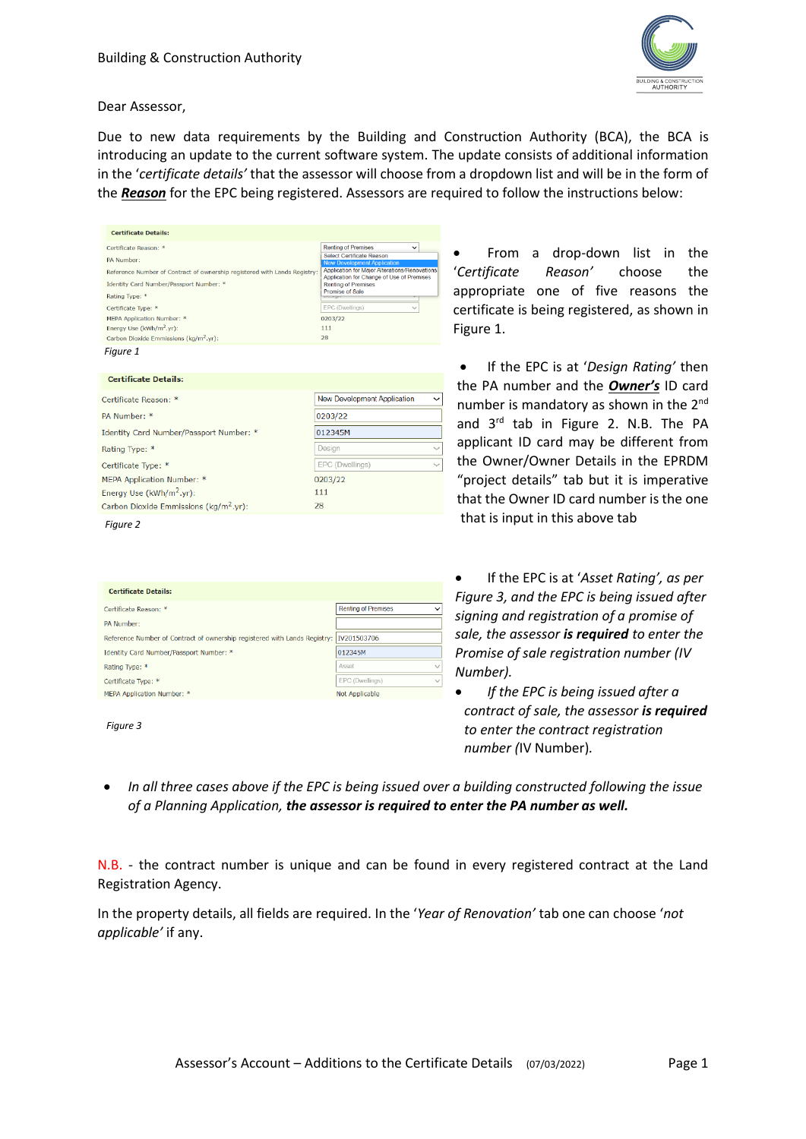

Dear Assessor,

Due to new data requirements by the Building and Construction Authority (BCA), the BCA is introducing an update to the current software system. The update consists of additional information in the '*certificate details'* that the assessor will choose from a dropdown list and will be in the form of the *Reason* for the EPC being registered. Assessors are required to follow the instructions below:

| <b>Certificate Details:</b>                                               |                                                                         |  |  |
|---------------------------------------------------------------------------|-------------------------------------------------------------------------|--|--|
| Certificate Reason: *                                                     | <b>Renting of Premises</b><br>$\check{ }$                               |  |  |
| PA Number:                                                                | Select Certificate Reason<br><b>New Development Application</b>         |  |  |
| Reference Number of Contract of ownership registered with Lands Registry: | Application for Major Alterations/Renovations                           |  |  |
| Identity Card Number/Passport Number: *                                   | Application for Change of Use of Premises<br><b>Renting of Premises</b> |  |  |
| Rating Type: *                                                            | Promise of Sale<br>EPOURNE                                              |  |  |
| Certificate Type: *                                                       | EPC (Dwellings)<br>$\checkmark$                                         |  |  |
| MEPA Application Number: *                                                | 0203/22                                                                 |  |  |
| Energy Use (kWh/m <sup>2</sup> .yr):                                      | 111                                                                     |  |  |
| Carbon Dioxide Emmissions (kg/m <sup>2</sup> .yr):                        | 28                                                                      |  |  |
| Figure 1                                                                  |                                                                         |  |  |
| <b>Certificate Details:</b>                                               |                                                                         |  |  |
| Certificate Reason: *                                                     | New Development Application<br>$\checkmark$                             |  |  |
| PA Number: *                                                              | 0203/22                                                                 |  |  |
| Identity Card Number/Passport Number: *                                   | 012345M                                                                 |  |  |

Design

111

28

EPC (Dwellings) 0203/22

• From a drop-down list in the '*Certificate Reason'* choose the appropriate one of five reasons the certificate is being registered, as shown in Figure 1.

• If the EPC is at '*Design Rating'* then the PA number and the *Owner's* ID card number is mandatory as shown in the 2<sup>nd</sup> and 3<sup>rd</sup> tab in Figure 2. N.B. The PA applicant ID card may be different from the Owner/Owner Details in the EPRDM "project details" tab but it is imperative that the Owner ID card number is the one that is input in this above tab

| <b>Certificate Details:</b>                                               |                            |              |
|---------------------------------------------------------------------------|----------------------------|--------------|
| Certificate Reason: *                                                     | <b>Renting of Premises</b> | $\checkmark$ |
| PA Number:                                                                |                            |              |
| Reference Number of Contract of ownership registered with Lands Registry: | IV201503706                |              |
| Identity Card Number/Passport Number: *                                   | 012345M                    |              |
| Rating Type: *                                                            | Asset                      | $\checkmark$ |
| Certificate Type: *                                                       | EPC (Dwellings)            | $\checkmark$ |
| MEPA Application Number: *                                                | <b>Not Applicable</b>      |              |
|                                                                           |                            |              |

| ,,,<br>ı |  |
|----------|--|
|          |  |

*Figure 2*

Rating Type: \* Certificate Type: \*

MEPA Application Number: Energy Use (kWh/m<sup>2</sup>.yr):

Carbon Dioxide Emmissions (kg/m<sup>2</sup>.vr):

• If the EPC is at '*Asset Rating', as per Figure 3, and the EPC is being issued after signing and registration of a promise of sale, the assessor is required to enter the Promise of sale registration number (IV Number).*

• *If the EPC is being issued after a contract of sale, the assessor is required to enter the contract registration number (*IV Number)*.*

• *In all three cases above if the EPC is being issued over a building constructed following the issue of a Planning Application, the assessor is required to enter the PA number as well.*

N.B. - the contract number is unique and can be found in every registered contract at the Land Registration Agency.

In the property details, all fields are required. In the '*Year of Renovation'* tab one can choose '*not applicable'* if any.